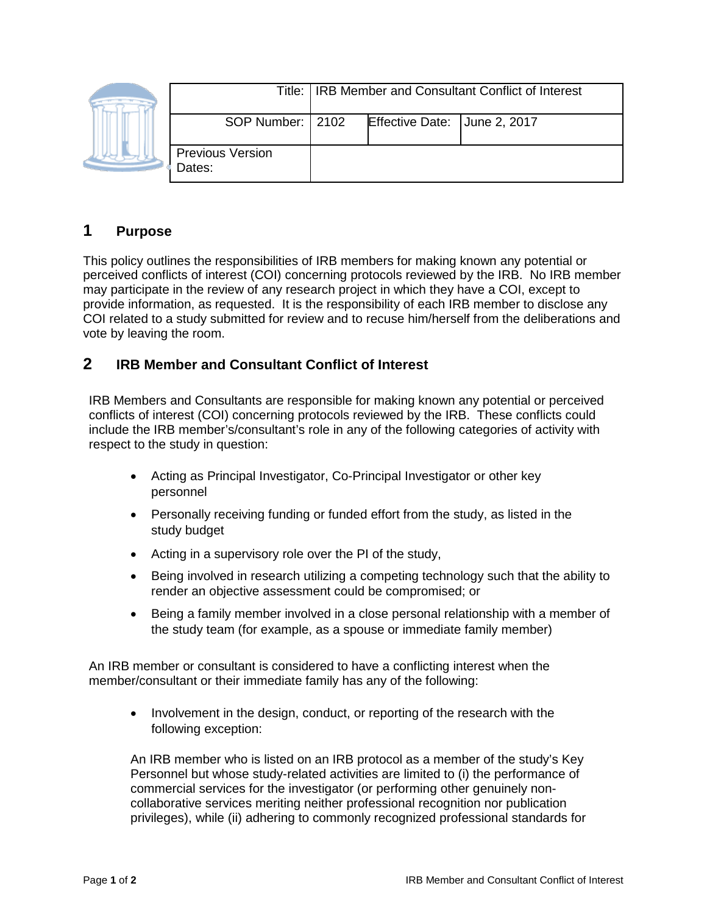|  |                                   | Title: IRB Member and Consultant Conflict of Interest |                              |  |
|--|-----------------------------------|-------------------------------------------------------|------------------------------|--|
|  | SOP Number:   2102                |                                                       | Effective Date: June 2, 2017 |  |
|  | <b>Previous Version</b><br>Dates: |                                                       |                              |  |

## **1 Purpose**

This policy outlines the responsibilities of IRB members for making known any potential or perceived conflicts of interest (COI) concerning protocols reviewed by the IRB. No IRB member may participate in the review of any research project in which they have a COI, except to provide information, as requested. It is the responsibility of each IRB member to disclose any COI related to a study submitted for review and to recuse him/herself from the deliberations and vote by leaving the room.

## **2 IRB Member and Consultant Conflict of Interest**

IRB Members and Consultants are responsible for making known any potential or perceived conflicts of interest (COI) concerning protocols reviewed by the IRB. These conflicts could include the IRB member's/consultant's role in any of the following categories of activity with respect to the study in question:

- Acting as Principal Investigator, Co-Principal Investigator or other key personnel
- Personally receiving funding or funded effort from the study, as listed in the study budget
- Acting in a supervisory role over the PI of the study,
- Being involved in research utilizing a competing technology such that the ability to render an objective assessment could be compromised; or
- Being a family member involved in a close personal relationship with a member of the study team (for example, as a spouse or immediate family member)

An IRB member or consultant is considered to have a conflicting interest when the member/consultant or their immediate family has any of the following:

• Involvement in the design, conduct, or reporting of the research with the following exception:

An IRB member who is listed on an IRB protocol as a member of the study's Key Personnel but whose study-related activities are limited to (i) the performance of commercial services for the investigator (or performing other genuinely noncollaborative services meriting neither professional recognition nor publication privileges), while (ii) adhering to commonly recognized professional standards for